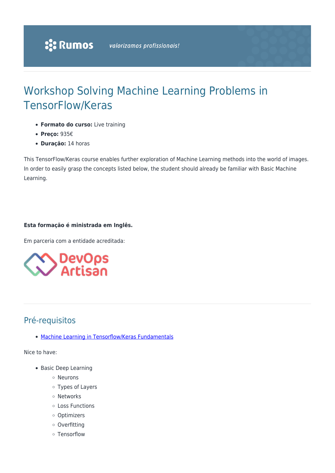# Workshop Solving Machine Learning Problems in TensorFlow/Keras

- **Formato do curso:** Live training
- **Preço:** 935€
- **Duração:** 14 horas

This TensorFlow/Keras course enables further exploration of Machine Learning methods into the world of images. In order to easily grasp the concepts listed below, the student should already be familiar with Basic Machine Learning.

# **Esta formação é ministrada em Inglês.**

Em parceria com a entidade acreditada:



# Pré-requisitos

• [Machine Learning in Tensorflow/Keras Fundamentals](https://www.rumos.pt/?p=49244)

Nice to have:

- Basic Deep Learning
	- Neurons
	- Types of Layers
	- Networks
	- Loss Functions
	- Optimizers
	- o Overfitting
	- Tensorflow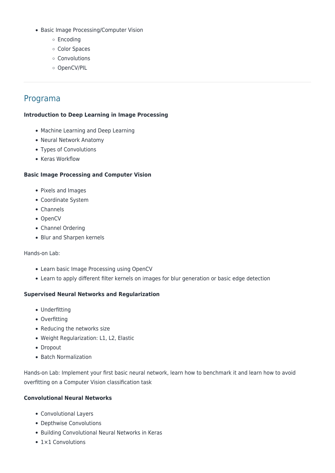- Basic Image Processing/Computer Vision
	- o Encoding
	- o Color Spaces
	- Convolutions
	- o OpenCV/PIL

# Programa

#### **Introduction to Deep Learning in Image Processing**

- Machine Learning and Deep Learning
- Neural Network Anatomy
- Types of Convolutions
- Keras Workflow

#### **Basic Image Processing and Computer Vision**

- Pixels and Images
- Coordinate System
- Channels
- OpenCV
- Channel Ordering
- Blur and Sharpen kernels

#### Hands-on Lab:

- Learn basic Image Processing using OpenCV
- Learn to apply different filter kernels on images for blur generation or basic edge detection

#### **Supervised Neural Networks and Regularization**

- Underfitting
- Overfitting
- Reducing the networks size
- Weight Regularization: L1, L2, Elastic
- Dropout
- Batch Normalization

Hands-on Lab: Implement your first basic neural network, learn how to benchmark it and learn how to avoid overfitting on a Computer Vision classification task

### **Convolutional Neural Networks**

- Convolutional Layers
- Depthwise Convolutions
- Building Convolutional Neural Networks in Keras
- 1×1 Convolutions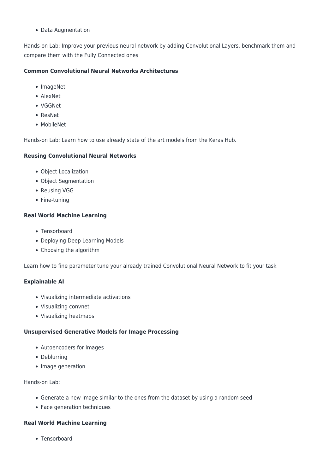• Data Augmentation

Hands-on Lab: Improve your previous neural network by adding Convolutional Layers, benchmark them and compare them with the Fully Connected ones

# **Common Convolutional Neural Networks Architectures**

- ImageNet
- AlexNet
- VGGNet
- ResNet
- MobileNet

Hands-on Lab: Learn how to use already state of the art models from the Keras Hub.

### **Reusing Convolutional Neural Networks**

- Object Localization
- Object Segmentation
- Reusing VGG
- Fine-tuning

# **Real World Machine Learning**

- Tensorboard
- Deploying Deep Learning Models
- Choosing the algorithm

Learn how to fine parameter tune your already trained Convolutional Neural Network to fit your task

### **Explainable AI**

- Visualizing intermediate activations
- Visualizing convnet
- Visualizing heatmaps

### **Unsupervised Generative Models for Image Processing**

- Autoencoders for Images
- Deblurring
- Image generation

### Hands-on Lab:

- Generate a new image similar to the ones from the dataset by using a random seed
- Face generation techniques

### **Real World Machine Learning**

• Tensorboard